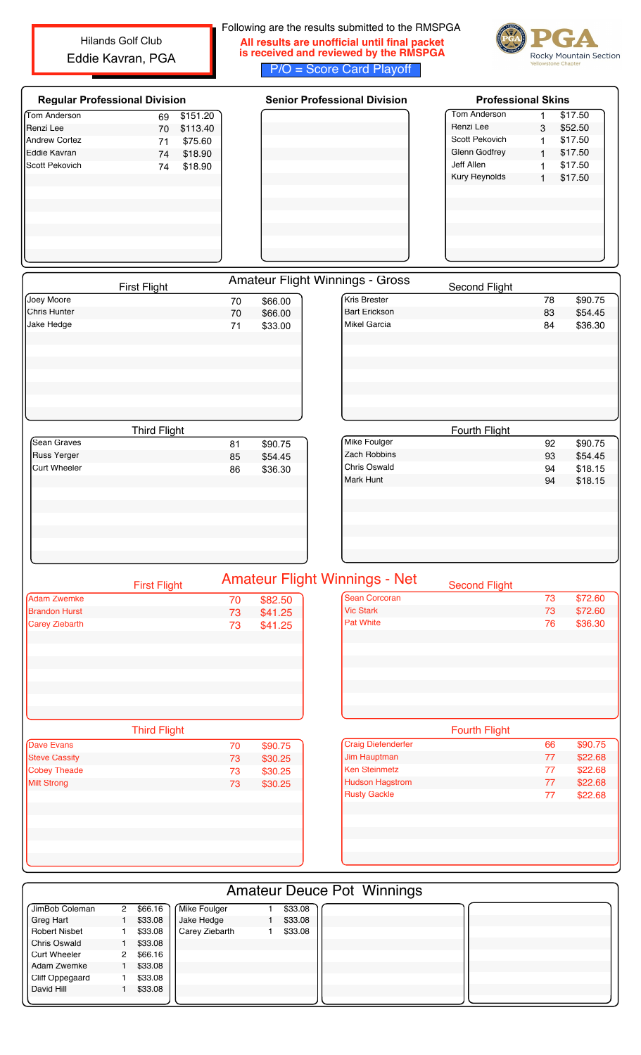Hilands Golf Club Eddie Kavran, PGA

## Following are the results submitted to the RMSPGA **All results are unofficial until final packet is received and reviewed by the RMSPGA** P/O = Score Card Playoff



| <b>Regular Professional Division</b> |                     |        |         | <b>Senior Professional Division</b>  | <b>Professional Skins</b> |              |         |
|--------------------------------------|---------------------|--------|---------|--------------------------------------|---------------------------|--------------|---------|
| Tom Anderson                         | \$151.20<br>69      |        |         |                                      | <b>Tom Anderson</b>       | $\mathbf{1}$ | \$17.50 |
| Renzi Lee                            | \$113.40<br>70      |        |         |                                      | Renzi Lee                 | 3            | \$52.50 |
| <b>Andrew Cortez</b>                 | \$75.60<br>71       |        |         |                                      | Scott Pekovich            | $\mathbf{1}$ | \$17.50 |
| Eddie Kavran                         | \$18.90<br>74       |        |         |                                      | Glenn Godfrey             | $\mathbf{1}$ | \$17.50 |
| Scott Pekovich                       | \$18.90<br>74       |        |         |                                      | Jeff Allen                | $\mathbf{1}$ | \$17.50 |
|                                      |                     |        |         |                                      | Kury Reynolds             | $\mathbf{1}$ | \$17.50 |
|                                      |                     |        |         |                                      |                           |              |         |
|                                      |                     |        |         | Amateur Flight Winnings - Gross      |                           |              |         |
| Joey Moore                           | <b>First Flight</b> | 70     | \$66.00 | Kris Brester                         | Second Flight             | 78           | \$90.75 |
| Chris Hunter                         |                     |        |         | <b>Bart Erickson</b>                 |                           | 83           | \$54.45 |
|                                      |                     | $70\,$ | \$66.00 | Mikel Garcia                         |                           | 84           |         |
| Jake Hedge                           |                     | 71     | \$33.00 |                                      |                           |              | \$36.30 |
|                                      |                     |        |         |                                      |                           |              |         |
|                                      |                     |        |         |                                      |                           |              |         |
|                                      |                     |        |         |                                      |                           |              |         |
|                                      |                     |        |         |                                      |                           |              |         |
|                                      |                     |        |         |                                      |                           |              |         |
|                                      | <b>Third Flight</b> |        |         |                                      | Fourth Flight             |              |         |
| Sean Graves                          |                     | 81     | \$90.75 | Mike Foulger                         |                           | 92           | \$90.75 |
| <b>Russ Yerger</b>                   |                     | 85     | \$54.45 | Zach Robbins                         |                           | 93           | \$54.45 |
| <b>Curt Wheeler</b>                  |                     | 86     | \$36.30 | Chris Oswald                         |                           | 94           | \$18.15 |
|                                      |                     |        |         | Mark Hunt                            |                           | 94           | \$18.15 |
|                                      |                     |        |         |                                      |                           |              |         |
|                                      | <b>First Flight</b> |        |         | <b>Amateur Flight Winnings - Net</b> | <b>Second Flight</b>      |              |         |
| <b>Adam Zwemke</b>                   |                     | 70     | \$82.50 | Sean Corcoran                        |                           | 73           | \$72.60 |
| <b>Brandon Hurst</b>                 |                     | 73     | \$41.25 | <b>Vic Stark</b>                     |                           | 73           | \$72.60 |
| <b>Carey Ziebarth</b>                |                     | 73     | \$41.25 | <b>Pat White</b>                     |                           | 76           | \$36.30 |
|                                      |                     |        |         |                                      |                           |              |         |
|                                      |                     |        |         |                                      |                           |              |         |
|                                      | <b>Third Flight</b> |        |         |                                      | <b>Fourth Flight</b>      |              |         |
| Dave Evans                           |                     | 70     | \$90.75 | <b>Craig Diefenderfer</b>            |                           | 66           | \$90.75 |
| <b>Steve Cassity</b>                 |                     | 73     | \$30.25 | Jim Hauptman                         |                           | 77           | \$22.68 |
|                                      |                     |        |         | <b>Ken Steinmetz</b>                 |                           |              |         |
| Cobey Theade                         |                     | 73     | \$30.25 |                                      |                           | 77           | \$22.68 |
| Milt Strong                          |                     | 73     | \$30.25 | <b>Hudson Hagstrom</b>               |                           | 77           | \$22.68 |
|                                      |                     |        |         | <b>Rusty Gackle</b>                  |                           | 77           | \$22.68 |
|                                      |                     |        |         |                                      |                           |              |         |
|                                      |                     |        |         |                                      |                           |              |         |
|                                      |                     |        |         |                                      |                           |              |         |

| <b>Amateur Deuce Pot Winnings</b> |                |         |  |  |  |  |  |  |  |  |
|-----------------------------------|----------------|---------|--|--|--|--|--|--|--|--|
| \$66.16<br>$\mathbf{2}^{\circ}$   | Mike Foulger   | \$33.08 |  |  |  |  |  |  |  |  |
| \$33.08                           | Jake Hedge     | \$33.08 |  |  |  |  |  |  |  |  |
| \$33.08                           | Carey Ziebarth | \$33.08 |  |  |  |  |  |  |  |  |
| \$33.08                           |                |         |  |  |  |  |  |  |  |  |
| \$66.16<br>2                      |                |         |  |  |  |  |  |  |  |  |
| \$33.08                           |                |         |  |  |  |  |  |  |  |  |
| \$33.08                           |                |         |  |  |  |  |  |  |  |  |
| \$33.08                           |                |         |  |  |  |  |  |  |  |  |
|                                   |                |         |  |  |  |  |  |  |  |  |